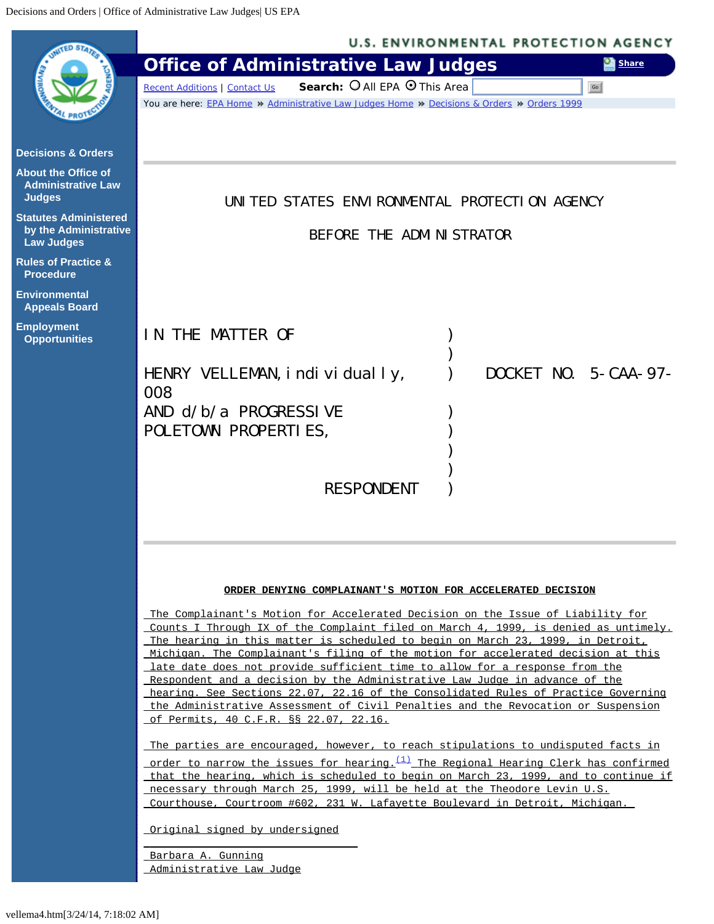<span id="page-0-0"></span>

|                                                                            | <b>U.S. ENVIRONMENTAL PROTECTION AGENCY</b>                                                                                                                                                                                           |                             |       |
|----------------------------------------------------------------------------|---------------------------------------------------------------------------------------------------------------------------------------------------------------------------------------------------------------------------------------|-----------------------------|-------|
|                                                                            | <b>Office of Administrative Law Judges</b>                                                                                                                                                                                            |                             | Share |
|                                                                            | Search: O All EPA O This Area<br><b>Recent Additions   Contact Us</b>                                                                                                                                                                 |                             | Go    |
|                                                                            | You are here: EPA Home » Administrative Law Judges Home » Decisions & Orders » Orders 1999                                                                                                                                            |                             |       |
|                                                                            |                                                                                                                                                                                                                                       |                             |       |
| <b>Decisions &amp; Orders</b>                                              |                                                                                                                                                                                                                                       |                             |       |
| <b>About the Office of</b><br><b>Administrative Law</b><br><b>Judges</b>   | UNITED STATES ENVIRONMENTAL PROTECTION AGENCY                                                                                                                                                                                         |                             |       |
| <b>Statutes Administered</b><br>by the Administrative<br><b>Law Judges</b> | BEFORE THE ADMINISTRATOR                                                                                                                                                                                                              |                             |       |
| <b>Rules of Practice &amp;</b><br><b>Procedure</b>                         |                                                                                                                                                                                                                                       |                             |       |
| <b>Environmental</b><br><b>Appeals Board</b>                               |                                                                                                                                                                                                                                       |                             |       |
| <b>Employment</b><br><b>Opportunities</b>                                  | IN THE MATTER OF                                                                                                                                                                                                                      |                             |       |
|                                                                            | HENRY VELLEMAN, i ndi vi dual ly,<br>008                                                                                                                                                                                              | <b>DOCKET NO. 5-CAA-97-</b> |       |
|                                                                            | AND $d/b/a$ PROGRESSIVE                                                                                                                                                                                                               |                             |       |
|                                                                            | POLETOWN PROPERTIES,                                                                                                                                                                                                                  |                             |       |
|                                                                            |                                                                                                                                                                                                                                       |                             |       |
|                                                                            |                                                                                                                                                                                                                                       |                             |       |
|                                                                            | <b>RESPONDENT</b>                                                                                                                                                                                                                     |                             |       |
|                                                                            |                                                                                                                                                                                                                                       |                             |       |
|                                                                            |                                                                                                                                                                                                                                       |                             |       |
|                                                                            |                                                                                                                                                                                                                                       |                             |       |
|                                                                            | ORDER DENYING COMPLAINANT'S MOTION FOR ACCELERATED DECISION<br>The Complainant's Motion for Accelerated Decision on the Issue of Liability for<br>Counts I Through IX of the Complaint filed on March 4, 1999, is denied as untimely. |                             |       |
|                                                                            |                                                                                                                                                                                                                                       |                             |       |
|                                                                            |                                                                                                                                                                                                                                       |                             |       |
|                                                                            | The hearing in this matter is scheduled to begin on March 23, 1999, in Detroit,<br>Michigan. The Complainant's filing of the motion for accelerated decision at this                                                                  |                             |       |
|                                                                            | late date does not provide sufficient time to allow for a response from the                                                                                                                                                           |                             |       |
|                                                                            | Respondent and a decision by the Administrative Law Judge in advance of the<br>hearing. See Sections 22.07, 22.16 of the Consolidated Rules of Practice Governing                                                                     |                             |       |

 hearing. See Sections 22.07, 22.16 of the Consolidated Rules of Practice Governing the Administrative Assessment of Civil Penalties and the Revocation or Suspension of Permits, 40 C.F.R. §§ 22.07, 22.16.

The parties are encouraged, however, to reach stipulations to undisputed facts in order to narrow the issues for hearing. $(1)$  The Regional Hearing Clerk has confirmed that the hearing, which is scheduled to begin on March 23, 1999, and to continue if necessary through March 25, 1999, will be held at the Theodore Levin U.S. Courthouse, Courtroom #602, 231 W. Lafayette Boulevard in Detroit, Michigan.

Original signed by undersigned

\_\_\_\_\_\_\_\_\_\_\_\_\_\_\_\_\_\_\_\_\_\_\_\_\_\_\_\_\_\_\_\_\_

Barbara A. Gunning Administrative Law Judge